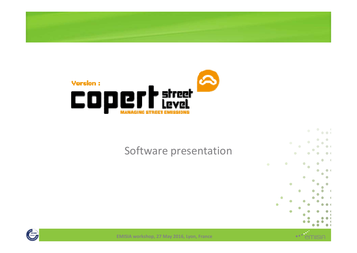



#### Software presentation







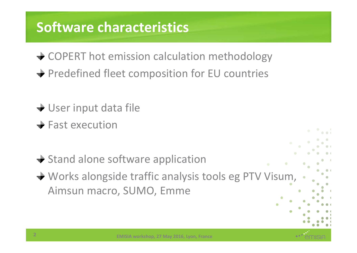# **Software characteristics**

- **→ COPERT hot emission calculation methodology**
- **→ Predefined fleet composition for EU countries**
- **→ User input data file**
- $\div$  Fast execution
- $\rightarrow$  Stand alone software application
- Works alongside traffic analysis tools eg PTV Visum, Aimsun macro, SUMO, Emme

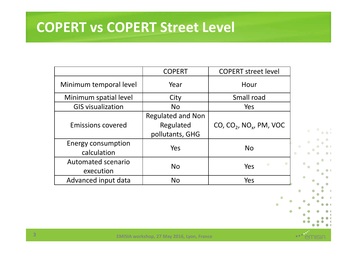#### **COPERT vs COPERT Street Level**

|                                          | <b>COPERT</b>                                            | <b>COPERT street level</b>     |  |
|------------------------------------------|----------------------------------------------------------|--------------------------------|--|
| Minimum temporal level                   | Year                                                     | Hour                           |  |
| Minimum spatial level                    | City                                                     | Small road                     |  |
| <b>GIS visualization</b>                 | <b>No</b>                                                | Yes                            |  |
| <b>Emissions covered</b>                 | <b>Regulated and Non</b><br>Regulated<br>pollutants, GHG | $CO$ , $CO2$ , $NOx$ , PM, VOC |  |
| <b>Energy consumption</b><br>calculation | Yes                                                      | <b>No</b>                      |  |
| Automated scenario<br>execution          | <b>No</b>                                                | ۰<br>Yes                       |  |
| Advanced input data                      | <b>No</b>                                                | Yes                            |  |

 $\bullet$  $\bullet$  $\bullet$  $\bullet$  $\mathbf{d}$  $\bullet$ 

 $\bullet$ 

 $\bullet$   $\bullet$   $\ddot{\bullet}$ 

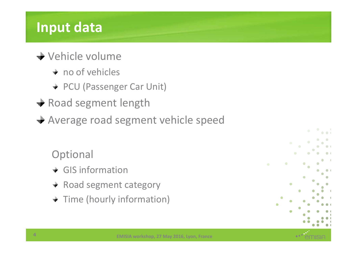# **Input data**

- Vehicle volume
	- $+$  no of vehicles
	- + PCU (Passenger Car Unit)
- $\rightarrow$  Road segment length
- Average road segment vehicle speed

#### **Optional**

- $\div$  GIS information
- $\div$  Road segment category
- $\rightarrow$  Time (hourly information)



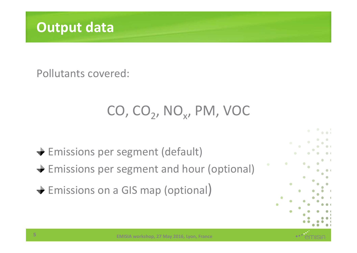

Pollutants covered:

# $CO$ ,  $CO<sub>2</sub>$ ,  $NO<sub>x</sub>$ , PM, VOC

Emissions per segment (default)

- $\div$  **Emissions per segment and hour (optional)**
- $\div$  **Emissions on a GIS map (optional)**



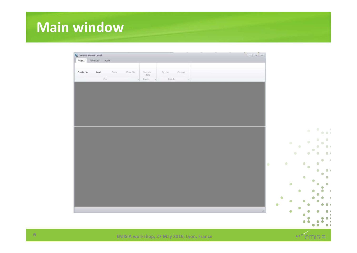# **Main window**

| <b>Q</b> COPERT Street Level                                                      |                                     |                        |
|-----------------------------------------------------------------------------------|-------------------------------------|------------------------|
| Project Advanced About                                                            |                                     |                        |
|                                                                                   |                                     |                        |
| Create file<br>Load<br>Close file<br>Save<br>Imported<br>data<br>By row<br>On map |                                     |                        |
| $_{\rm Ffe}$<br>Results<br><b>Import</b>                                          |                                     |                        |
|                                                                                   |                                     |                        |
|                                                                                   |                                     |                        |
|                                                                                   |                                     |                        |
|                                                                                   |                                     |                        |
|                                                                                   |                                     |                        |
|                                                                                   |                                     |                        |
|                                                                                   |                                     |                        |
|                                                                                   |                                     |                        |
|                                                                                   |                                     |                        |
|                                                                                   | $\bullet$                           | $\bullet$<br>$\sim$ 1  |
|                                                                                   |                                     | $\bullet$ $\bullet$ (  |
|                                                                                   |                                     | $\bullet$<br>$\bullet$ |
|                                                                                   | $\bullet$<br>$\bullet$<br>$\bullet$ | $\bullet$              |
|                                                                                   | $\bullet$                           | $\bullet$<br>$\bullet$ |
|                                                                                   | $\bullet$<br>$\bullet$              | ۰<br>$\bullet$ (       |
|                                                                                   |                                     | $\bullet$              |
|                                                                                   | $\bullet$<br>$\bullet$<br>lo.       | $\bullet$              |
|                                                                                   | $\bullet$                           | $\bullet$<br>۰         |
|                                                                                   |                                     | o                      |
|                                                                                   | $\bullet$                           |                        |
|                                                                                   | ٥                                   |                        |
|                                                                                   |                                     |                        |
|                                                                                   |                                     |                        |
|                                                                                   | ۰                                   |                        |
|                                                                                   | ۰                                   |                        |
|                                                                                   |                                     |                        |
|                                                                                   |                                     |                        |
|                                                                                   |                                     |                        |
|                                                                                   | $\bullet$                           | ۸<br>$\bullet$         |

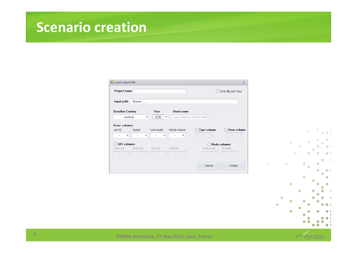#### **Scenario creation**

| <b>P</b> Load output file |           |             |                          |                                | $\times$                 |
|---------------------------|-----------|-------------|--------------------------|--------------------------------|--------------------------|
| Project name              |           |             |                          |                                | $\Box$ One file per hour |
| Input path                | Browse    |             |                          |                                |                          |
| <b>Baseline Country</b>   |           | Year        | Sheet name               |                                |                          |
| Austria                   |           | 2030<br>▼   | ▼                        | Leave blank to use first sheet |                          |
| <b>Basic columns</b>      |           |             |                          |                                |                          |
| Link ID                   | Speed     | Link Length | Vehicle Volume           | Type column                    | <b>Hour column</b>       |
| ۰                         | ۰         | ▼           | ▼                        | $\overline{\phantom{a}}$       | $\overline{\mathbf{v}}$  |
| <b>GIS</b> columns        |           |             |                          |                                | <b>Node columns</b>      |
| Start Lat                 | Start Lon | End Lat     | End Lon                  | From node                      | To node                  |
|                           |           | v           | $\overline{\phantom{a}}$ |                                | v                        |
|                           |           |             |                          |                                |                          |
|                           |           |             |                          |                                |                          |





**EMISIA workshop, 27 May 2016, Lyon, France**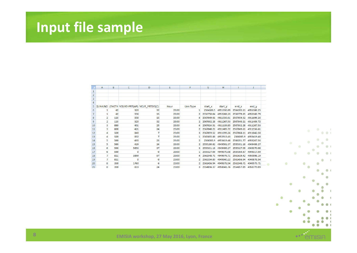# **Input file sample**

|                | A | B   | c        | D                                            | E.    | F         | G          | н          |            | J          |
|----------------|---|-----|----------|----------------------------------------------|-------|-----------|------------|------------|------------|------------|
| 1              |   |     |          |                                              |       |           |            |            |            |            |
| $\overline{2}$ |   |     |          |                                              |       |           |            |            |            |            |
| 3              |   |     |          |                                              |       |           |            |            |            |            |
| 4              |   |     |          |                                              |       |           |            |            |            |            |
| 5              |   |     |          | SLINK:NO LENGTH VOLVEHPRT(AP) VCUR PRTSYS(C) | Hour  | Link Type | start x    | start y    | end x      | end y      |
| 6              |   | 42  | 320      | 32                                           | 23:00 |           | 2564183.5  | 4951336.89 | 2564285.11 | 4951386.25 |
| 7              |   | 42  | 558      | 15                                           | 23:00 | 21        | 2556750.04 | 4952288.23 | 2556779.65 | 4952160.79 |
| 8              | 2 | 113 | 558      | 15                                           | 23:00 | 4         | 2567049.61 | 4911556.61 | 2567059.52 | 4911699.26 |
| 9              |   | 113 | 320      | 32                                           | 23:00 |           | 2567032.28 | 4911267.53 | 2567040.21 | 4911409.72 |
| 10             | з | 880 | 401      | 25                                           | 23:00 | 4         | 2567024.51 | 4911139.85 | 2567032.28 | 4911267.53 |
| 11             | 3 | 880 | 421      | 24                                           | 23:00 |           | 2567040.21 | 4911409.72 | 2567049.61 | 4911556.61 |
| 12             |   | 320 | 840      | 7                                            | 23:00 | ٩         | 2567059.52 | 4911699.26 | 2567068.11 | 4911842.58 |
| 13             | 4 | 320 | 832      | 7                                            | 23:00 |           | 2565635.88 | 4952913.43 | 2566005.9  | 4953419.48 |
| 14             | 5 | 580 | 430      | 23                                           | 23:00 | 2         | 2566005.9  | 4953419.48 | 2566201.77 | 4953267.56 |
| 15             | 5 | 580 | 419      | 24                                           | 23:00 |           | 2555180.82 | 4949501.37 | 2555301.18 | 4949406.27 |
| 16             | 6 | 590 | 5653     | 37                                           | 23:00 | 3         | 2555301.18 | 4949406.27 | 2555327.09 | 4949370.08 |
| 17             | 6 | 590 | $\Omega$ | 0                                            | 23:00 |           | 2555327.09 | 4949370.08 | 2555364.67 | 4949317.59 |
| 18             |   | 811 | 3899     | 87                                           | 23:00 |           | 2561548.71 | 4949979.71 | 2561619.42 | 4950098.19 |
| 19             | 7 | 811 | 0        | 0                                            | 23:00 | 2.        | 2561394.89 | 4949840.22 | 2561456.94 | 4949878.54 |
| 20             | 8 | 350 | 1760     | 6                                            | 23:00 |           | 2561456.94 | 4949878.54 | 2561548.71 | 4949979.71 |
| 21             | 8 | 350 | 833      | 24                                           | 23:00 | 3         | 2554896.37 | 4958841.76 | 2554857.89 | 4958779.09 |



 $\bullet$ 



**EMISIA workshop, 27 May 2016, Lyon, France**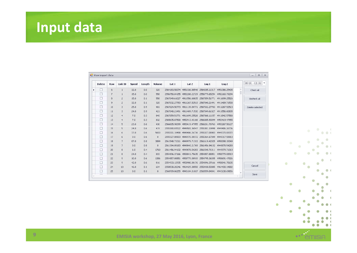# **Input data**

|   | <b>Delete</b> | Row | Link ID        | <b>Speed</b> | Length | Volume       | Lat 1         | Lat 2                                     | Lnq <sub>1</sub>                                        | Lng <sub>2</sub> |          | ≬00:00 - 01:00 i ▼ |
|---|---------------|-----|----------------|--------------|--------|--------------|---------------|-------------------------------------------|---------------------------------------------------------|------------------|----------|--------------------|
| ٠ |               | 6   | $\mathbf{1}$   | 32.0         | 0.0    | 320          |               | 2564183.50074 4951336.88546 2564285.11317 |                                                         | 4951386.25405    | $\Delta$ | Check all          |
|   |               | 7   | 1              | 15.0         | 0.0    | 558          |               | 2556750.04155 4952288.22729               | 2556779.65254 4952160.79294                             |                  |          |                    |
|   | $\Box$        | 8   | $\mathbf{2}$   | 15.0         | 0.1    | 558          |               |                                           | 2567049.61027 4911556.60835 2567059.51771 4911699.25526 |                  |          | Uncheck all        |
|   | $\Box$        | 9   | $\mathbf{2}$   | 32.0         | 0.1    | 320          |               |                                           | 2567032.27783 4911267.52513 2567040.21491               | 4911409.71530    |          |                    |
|   | $\Box$        | 10  | 3              | 25.0         | 0.9    | 401          |               | 2567024.50773 4911139.84771 2567032.27783 |                                                         | 4911267.52513    |          | Delete selected    |
|   | $\Box$        | 11  | 3              | 24.0         | 0.9    | 421          |               | 2567040.21491 4911409.71530               | 2567049.61027                                           | 4911556.60835    |          |                    |
|   | $\Box$        | 12  | $\overline{4}$ | 7.0          | 0.3    | 840          |               |                                           | 2567059.51771 4911699.25526 2567068.11157               | 4911842.57580    |          |                    |
|   |               | 13  | $\overline{4}$ | 7.0          | 0.3    | 832          |               |                                           | 2565635.87500 4952913.43166 2566005.90099               | 4953419.47955    |          |                    |
|   |               | 14  | 5              | 23.0         | 0.6    | 430          | 2566005,90099 |                                           | 4953419.47955 2566201.76763                             | 4953267.56127    |          |                    |
|   |               | 15  | 5              | 24.0         | 0.6    | 419          |               |                                           | 2555180.81522 4949501.36547 2555301.18498               | 4949406.26736    |          |                    |
|   |               | 16  | 6              | 37.0         | 0.6    | 5653         |               | 2555301.18498 4949406.26736 2555327.08903 |                                                         | 4949370.08372    |          |                    |
|   |               | 17  | 6              | 0.0          | 0.6    | $\mathbf 0$  |               |                                           | 2555327.08903 4949370.08372 2555364.67049 4949317.58910 |                  |          |                    |
|   |               | 18  | $\overline{7}$ | 87.0         | 0.8    | 3899         |               |                                           | 2561548.71311 4949979.71313 2561619.42325               | 4950098.19349    |          |                    |
|   | $\Box$        | 19  | $\overline{7}$ | 0.0          | 0.8    | $\mathbf{0}$ |               |                                           | 2561394.89183 4949840.21769 2561456.94132 4949878.54283 |                  |          |                    |
|   | $\Box$        | 20  | 8              | 6.0          | 0.4    | 1760         |               | 2561456,94132 4949878,54283               | 2561548.71311 4949979.71313                             |                  |          |                    |
|   | $\Box$        | 21  | 8              | 24.0         | 0.4    | 833          |               |                                           | 2554896.37166 4958841.75635 2554857.88851               | 4958779.08919    |          |                    |
|   |               | 22  | 9              | 10.0         | 0.6    | 1386         |               |                                           | 2554857.88851 4958779.08919 2554795.36035 4958691.47026 |                  |          |                    |
|   |               | 23  | 9              | 42.0         | 0.6    | 816          |               |                                           | 2554933.12935 4958900.08176 2554896.37166 4958841.75635 |                  |          |                    |
|   |               | 24  | 10             | 46.0         | 0.1    | 634          |               |                                           | 2550538.20246 4964429.38558 2550430.50085 4964430.14882 |                  |          | Cancel             |
|   |               | 25  | 10             | 0.0          | 0.1    | $\theta$     |               |                                           | 2568709.86255 4943104.31017 2568559.84841 4943138.69856 |                  | ٠        |                    |





**EMISIA workshop, 27 May 2016, Lyon, France <sup>9</sup>**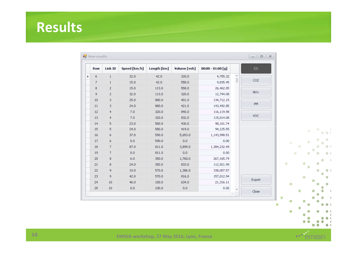## **Results**

|   | <b>Row</b> | Link ID        | Speed [km/h] | Length [km] | Volume [veh] | $00:00 - 01:00[g]$ |           | $_{\rm CO}$     |           |   |           |  |
|---|------------|----------------|--------------|-------------|--------------|--------------------|-----------|-----------------|-----------|---|-----------|--|
| k | 6          | $\mathbf{1}$   | 32.0         | 42.0        | 320.0        | 4,755.32           | $\hat{0}$ |                 |           |   |           |  |
|   | 7          | $\mathbf{1}$   | 15.0         | 42.0        | 558.0        | 9,835.45           |           | CO2             |           |   |           |  |
|   | 8          | $\mathbf{2}$   | 15.0         | 113.0       | 558.0        | 26,462.05          |           |                 |           |   |           |  |
|   | 9          | $\overline{c}$ | 32.0         | 113.0       | 320.0        | 12,794.08          |           | NO <sub>x</sub> |           |   |           |  |
|   | 10         | 3              | 25.0         | 880.0       | 401.0        | 134,712.15         |           |                 |           |   |           |  |
|   | 11         | 3              | 24.0         | 880.0       | 421.0        | 143,492.85         |           | PM.             |           |   |           |  |
|   | 12         | $\overline{4}$ | 7.0          | 320.0       | 840.0        | 116,119.98         |           |                 |           |   |           |  |
|   | 13         | $\overline{4}$ | 7.0          | 320.0       | 832.0        | 115,014.08         |           | VOC.            |           |   |           |  |
|   | 14         | 5              | 23.0         | 580.0       | 430.0        | 98,101.74          |           |                 |           |   |           |  |
|   | 15         | 5              | 24.0         | 580.0       | 419.0        | 94,125.55          |           |                 |           |   | $\bullet$ |  |
|   | 16         | 6              | 37.0         | 590.0       | 5,653.0      | 1,143,998.51       |           |                 |           |   |           |  |
|   | 17         | 6              | 0.0          | 590.0       | $0.0\,$      | 0.00               |           |                 | $\bullet$ |   |           |  |
|   | 18         | 7              | 87.0         | 811.0       | 3,899.0      | 1,384,232.49       |           |                 |           | ۰ |           |  |
|   | 19         | 7.             | $_{0.0}$     | 811.0       | $_{0.0}$     | 0.00               |           |                 |           | ۰ |           |  |
|   | 20         | 8              | 6.0          | 350.0       | 1,760.0      | 267,165.79         |           |                 |           |   |           |  |
|   | 21         | 8              | 24.0         | 350.0       | 833.0        | 112,921.99         |           |                 | $\bullet$ |   | ۰         |  |
|   | 22         | 9              | 10.0         | 570.0       | 1,386.0      | 338,007.57         |           |                 |           |   |           |  |
|   | 23         | 9              | 42.0         | 570.0       | 816.0        | 157,012.94         |           |                 |           |   | ۸         |  |
|   | 24         | 10             | 46.0         | 100.0       | 634.0        | 21,316.11          |           | Export          | $\bullet$ |   |           |  |
|   | 25         | 10             | 0.0          | 100.0       | $_{0.0}$     | 0.00               |           | Close           |           |   |           |  |



 $\bullet$ 

 $\langle$  $\mathbf{d}$ 

 $\mathcal{A}$ 

 $\blacksquare$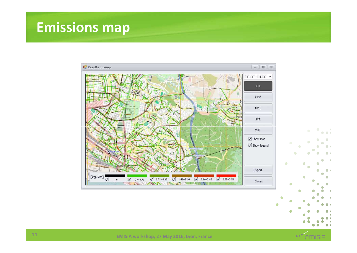#### **Emissions map**



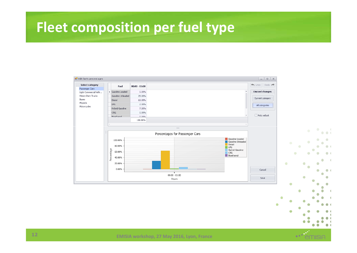#### **Fleet composition per fuel type**





٠ ۵

 $\bullet$   $\bullet$  (

 $\bullet$ 

 $\blacksquare$ 

 $\blacksquare$ 

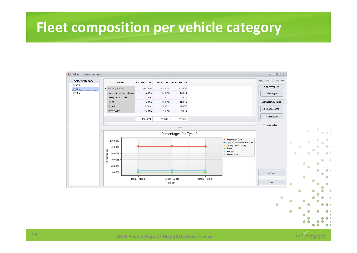#### **Fleet composition per vehicle category**





c **COL**  $\bullet$ 

 $\mathcal{L}(\mathcal{A})$